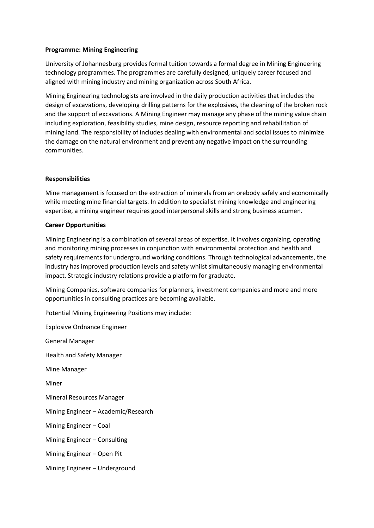## **Programme: Mining Engineering**

University of Johannesburg provides formal tuition towards a formal degree in Mining Engineering technology programmes. The programmes are carefully designed, uniquely career focused and aligned with mining industry and mining organization across South Africa.

Mining Engineering technologists are involved in the daily production activities that includes the design of excavations, developing drilling patterns for the explosives, the cleaning of the broken rock and the support of excavations. A Mining Engineer may manage any phase of the mining value chain including exploration, feasibility studies, mine design, resource reporting and rehabilitation of mining land. The responsibility of includes dealing with environmental and social issues to minimize the damage on the natural environment and prevent any negative impact on the surrounding communities.

## **Responsibilities**

Mine management is focused on the extraction of minerals from an orebody safely and economically while meeting mine financial targets. In addition to specialist mining knowledge and engineering expertise, a mining engineer requires good interpersonal skills and strong business acumen.

## **Career Opportunities**

Mining Engineering is a combination of several areas of expertise. It involves organizing, operating and monitoring mining processes in conjunction with environmental protection and health and safety requirements for underground working conditions. Through technological advancements, the industry has improved production levels and safety whilst simultaneously managing environmental impact. Strategic industry relations provide a platform for graduate.

Mining Companies, software companies for planners, investment companies and more and more opportunities in consulting practices are becoming available.

Potential Mining Engineering Positions may include:

Explosive Ordnance Engineer General Manager Health and Safety Manager Mine Manager Miner Mineral Resources Manager Mining Engineer – Academic/Research Mining Engineer – Coal Mining Engineer – Consulting Mining Engineer – Open Pit Mining Engineer – Underground